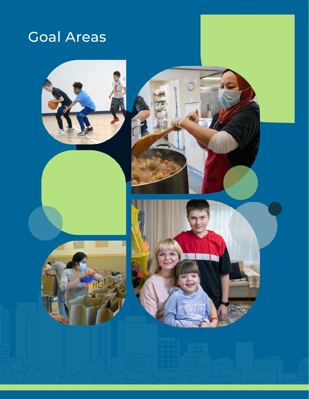# Goal Areas

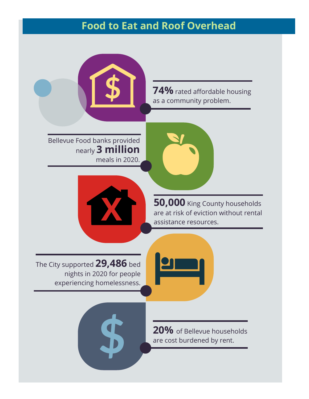## **Food to Eat and Roof Overhead**

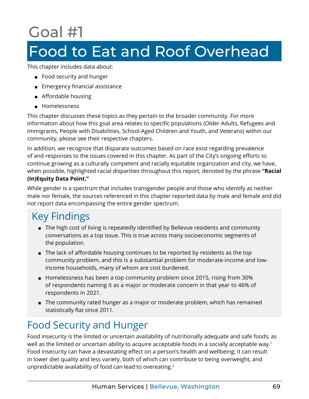# <span id="page-2-0"></span>Goal #1

# Food to Eat and Roof Overhead

This chapter includes data about:

- Food security and hunger
- Emergency financial assistance
- Affordable housing
- Homelessness

This chapter discusses these topics as they pertain to the broader community. For more information about how this goal area relates to specific populations (Older Adults, Refugees and Immigrants, People with Disabilities, School-Aged Children and Youth, and Veterans) within our community, please see their respective chapters.

In addition, we recognize that disparate outcomes based on race exist regarding prevalence of and responses to the issues covered in this chapter. As part of the City's ongoing efforts to continue growing as a culturally competent and racially equitable organization and city, we have, when possible, highlighted racial disparities throughout this report, denoted by the phrase **"Racial (In)Equity Data Point."**

While gender is a spectrum that includes transgender people and those who identify as neither male nor female, the sources referenced in this chapter reported data by male and female and did not report data encompassing the entire gender spectrum.

# Key Findings

- The high cost of living is repeatedly identified by Bellevue residents and community conversations as a top issue. This is true across many socioeconomic segments of the population.
- The lack of affordable housing continues to be reported by residents as the top community problem, and this is a substantial problem for moderate-income and lowincome households, many of whom are cost burdened.
- Homelessness has been a top community problem since 2015, rising from 30% of respondents naming it as a major or moderate concern in that year to 46% of respondents in 2021.
- The community rated hunger as a major or moderate problem, which has remained statistically flat since 2011.

# Food Security and Hunger

Food insecurity is the limited or uncertain availability of nutritionally adequate and safe foods, as well as the limited or uncertain ability to acquire acceptable foods in a socially acceptable way.<sup>[1](#page-11-0)</sup> Food insecurity can have a devastating effect on a person's health and wellbeing; it can result in lower diet quality and less variety, both of which can contribute to being overweight, and unpredictable availability of food can lead to overeating.<sup>2</sup>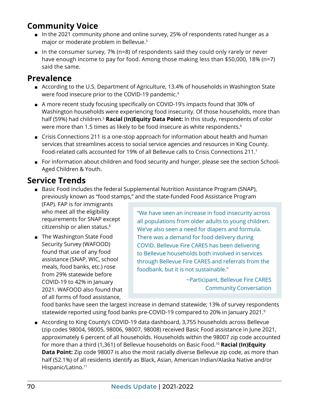### <span id="page-3-0"></span>**Community Voice**

- In the 2021 community phone and online survey, 25% of respondents rated hunger as a major or moderate problem in Bellevue.<sup>[3](#page-11-0)</sup>
- $\blacksquare$  In the consumer survey, 7% (n=8) of respondents said they could only rarely or never have enough income to pay for food. Among those making less than \$50,000, 18% (n=7) said the same.

### **Prevalence**

- According to the U.S. Department of Agriculture, 13.4% of households in Washington State were food insecure prior to the COVID-19 pandemic[.4](#page-11-0)
- A more recent study focusing specifically on COVID-19's impacts found that 30% of Washington households were experiencing food insecurity. Of those households, more than half ([5](#page-11-0)9%) had children.<sup>5</sup> **Racial (In)Equity Data Point:** In this study, respondents of color were more than 1.5 times as likely to be food insecure as white respondents.<sup>[6](#page-11-0)</sup>
- Crisis Connections 211 is a one-stop approach for information about health and human services that streamlines access to social service agencies and resources in King County. Food-related calls accounted for 19% of all Bellevue calls to Crisis Connections 211[.7](#page-11-0)
- For information about children and food security and hunger, please see the section School-Aged Children & Youth.

### **Service Trends**

■ Basic Food includes the federal Supplemental Nutrition Assistance Program (SNAP), previously known as "food stamps," and the state-funded Food Assistance Program

(FAP). FAP is for immigrants who meet all the eligibility requirements for SNAP except citizenship or alien status.<sup>[8](#page-11-0)</sup>

■ The Washington State Food Security Survey (WAFOOD) found that use of any food assistance (SNAP, WIC, school meals, food banks, etc.) rose from 29% statewide before COVID-19 to 42% in January 2021. WAFOOD also found that of all forms of food assistance,

"We have seen an increase in food insecurity across all populations from older adults to young children. We've also seen a need for diapers and formula. There was a demand for food delivery during COVID. Bellevue Fire CARES has been delivering to Bellevue households both involved in services through Bellevue Fire CARES and referrals from the foodbank, but it is not sustainable."

> ~Participant, Bellevue Fire CARES Community Conversation

food banks have seen the largest increase in demand statewide; 13% of survey respondents statewide reported using food banks pre-COVID-19 compared to 20% in January 2021[.9](#page-11-0)

■ According to King County's COVID-19 data dashboard, 3,755 households across Bellevue (zip codes 98004, 98005, 98006, 98007, 98008) received Basic Food assistance in June 2021, approximately 6 percent of all households. Households within the 98007 zip code accounted for more than a third (1,361) of Bellevue households on Basic Food.[10](#page-11-0) **Racial (In)Equity Data Point:** Zip code 98007 is also the most racially diverse Bellevue zip code, as more than half (52.1%) of all residents identify as Black, Asian, American Indian/Alaska Native and/or Hispanic/Latino.<sup>[11](#page-11-0)</sup>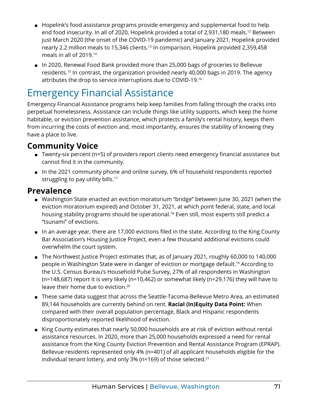- <span id="page-4-0"></span>■ Hopelink's food assistance programs provide emergency and supplemental food to help end food insecurity. In all of 2020, Hopelink provided a total of 2,931,180 meals[.12](#page-11-0) Between just March 2020 (the onset of the COVID-19 pandemic) and January 2021, Hopelink provided nearly 2.2 million meals to 15,346 clients.<sup>13</sup> In comparison, Hopelink provided 2,359,458 meals in all of 2019.[14](#page-11-0)
- In 2020, Renewal Food Bank provided more than 25,000 bags of groceries to Bellevue residents[.15](#page-11-0) In contrast, the organization provided nearly 40,000 bags in 2019. The agency attributes the drop to service interruptions due to COVID-19[.16](#page-11-0)

# Emergency Financial Assistance

Emergency Financial Assistance programs help keep families from falling through the cracks into perpetual homelessness. Assistance can include things like utility supports, which keep the home habitable, or eviction prevention assistance, which protects a family's rental history, keeps them from incurring the costs of eviction and, most importantly, ensures the stability of knowing they have a place to live.

### **Community Voice**

- Twenty-six percent (n=5) of providers report clients need emergency financial assistance but cannot find it in the community.
- In the 2021 community phone and online survey, 6% of household respondents reported struggling to pay utility bills.<sup>[17](#page-11-0)</sup>

### **Prevalence**

- Washington State enacted an eviction moratorium "bridge" between June 30, 2021 (when the eviction moratorium expired) and October 31, 2021, at which point federal, state, and local housing stability programs should be operational.<sup>[18](#page-11-0)</sup> Even still, most experts still predict a "tsunami" of evictions.
- In an average year, there are 17,000 evictions filed in the state. According to the King County Bar Association's Housing Justice Project, even a few thousand additional evictions could overwhelm the court system.
- The Northwest Justice Project estimates that, as of January 2021, roughly 60,000 to 140,000 people in Washington State were in danger of eviction or mortgage default.[19](#page-11-0) According to the U.S. Census Bureau's Household Pulse Survey, 27% of all respondents in Washington (n=148,687) report it is very likely (n=10,462) or somewhat likely (n=29,176) they will have to leave their home due to eviction.[20](#page-11-0)
- These same data suggest that across the Seattle-Tacoma-Bellevue Metro Area, an estimated 89,144 households are currently behind on rent. **Racial (In)Equity Data Point:** When compared with their overall population percentage, Black and Hispanic respondents disproportionately reported likelihood of eviction.
- King County estimates that nearly 50,000 households are at risk of eviction without rental assistance resources. In 2020, more than 25,000 households expressed a need for rental assistance from the King County Eviction Prevention and Rental Assistance Program (EPRAP). Bellevue residents represented only 4% (n=401) of all applicant households eligible for the individual tenant lottery, and only 3% ( $n=169$ ) of those selected.<sup>[21](#page-12-0)</sup>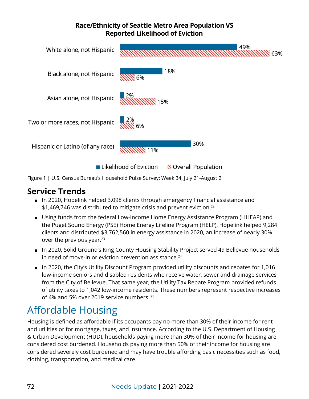#### **Race/Ethnicity of Seattle Metro Area Population VS Reported Likelihood of Eviction**

<span id="page-5-0"></span>

Figure 1 | U.S. Census Bureau's Household Pulse Survey: Week 34, July 21-August 2

### **Service Trends**

- In 2020, Hopelink helped 3,098 clients through emergency financial assistance and \$1,469,746 was distributed to mitigate crisis and prevent eviction.<sup>[22](#page-12-0)</sup>
- Using funds from the federal Low-Income Home Energy Assistance Program (LIHEAP) and the Puget Sound Energy (PSE) Home Energy Lifeline Program (HELP), Hopelink helped 9,284 clients and distributed \$3,762,560 in energy assistance in 2020, an increase of nearly 30% over the previous year. $23$
- In 2020, Solid Ground's King County Housing Stability Project served 49 Bellevue households in need of move-in or eviction prevention assistance.<sup>[24](#page-12-0)</sup>
- In 2020, the City's Utility Discount Program provided utility discounts and rebates for 1,016 low-income seniors and disabled residents who receive water, sewer and drainage services from the City of Bellevue. That same year, the Utility Tax Rebate Program provided refunds of utility taxes to 1,042 low-income residents. These numbers represent respective increases of 4% and 5% over 2019 service numbers.<sup>[25](#page-12-0)</sup>

# Affordable Housing

Housing is defined as affordable if its occupants pay no more than 30% of their income for rent and utilities or for mortgage, taxes, and insurance. According to the U.S. Department of Housing & Urban Development (HUD), households paying more than 30% of their income for housing are considered cost burdened. Households paying more than 50% of their income for housing are considered severely cost burdened and may have trouble affording basic necessities such as food, clothing, transportation, and medical care.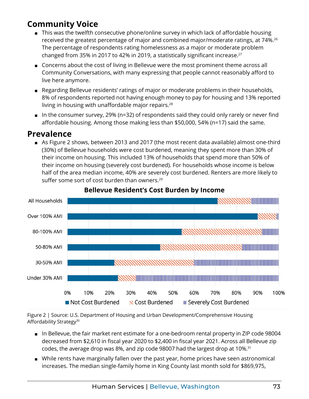## <span id="page-6-0"></span>**Community Voice**

- This was the twelfth consecutive phone/online survey in which lack of affordable housing received the greatest percentage of major and combined major/moderate ratings, at 74%.<sup>26</sup> The percentage of respondents rating homelessness as a major or moderate problem changed from 35% in 2017 to 42% in 2019, a statistically significant increase.<sup>[27](#page-12-0)</sup>
- Concerns about the cost of living in Bellevue were the most prominent theme across all Community Conversations, with many expressing that people cannot reasonably afford to live here anymore.
- Regarding Bellevue residents' ratings of major or moderate problems in their households, 8% of respondents reported not having enough money to pay for housing and 13% reported living in housing with unaffordable major repairs.<sup>[28](#page-12-0)</sup>
- In the consumer survey, 29% (n=32) of respondents said they could only rarely or never find affordable housing. Among those making less than \$50,000, 54% (n=17) said the same.

### **Prevalence**

■ As Figure 2 shows, between 2013 and 2017 (the most recent data available) almost one-third (30%) of Bellevue households were cost burdened, meaning they spent more than 30% of their income on housing. This included 13% of households that spend more than 50% of their income on housing (severely cost burdened). For households whose income is below half of the area median income, 40% are severely cost burdened. Renters are more likely to suffer some sort of cost burden than owners.<sup>[29](#page-12-0)</sup>



#### **Bellevue Resident's Cost Burden by Income**

Figure 2 | Source: U.S. Department of Housing and Urban Development/Comprehensive Housing Affordability Strategy<sup>[30](#page-12-0)</sup>

- In Bellevue, the fair market rent estimate for a one-bedroom rental property in ZIP code 98004 decreased from \$2,610 in fiscal year 2020 to \$2,400 in fiscal year 2021. Across all Bellevue zip codes, the average drop was 8%, and zip code 98007 had the largest drop at 10%.[31](#page-12-0)
- While rents have marginally fallen over the past year, home prices have seen astronomical increases. The median single-family home in King County last month sold for \$869,975,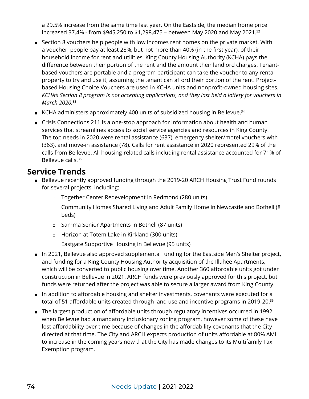<span id="page-7-0"></span>a 29.5% increase from the same time last year. On the Eastside, the median home price increased 37.4% - from \$945,250 to \$1,298,475 – between May 2020 and May 2021[.32](#page-12-0)

- Section 8 vouchers help people with low incomes rent homes on the private market. With a voucher, people pay at least 28%, but not more than 40% (in the first year), of their household income for rent and utilities. King County Housing Authority (KCHA) pays the difference between their portion of the rent and the amount their landlord charges. Tenantbased vouchers are portable and a program participant can take the voucher to any rental property to try and use it, assuming the tenant can afford their portion of the rent. Projectbased Housing Choice Vouchers are used in KCHA units and nonprofit-owned housing sites. *KCHA's Section 8 program is not accepting applications, and they last held a lottery for vouchers in March 2020.*[33](#page-12-0)
- KCHA administers approximately 400 units of subsidized housing in Bellevue.<sup>[34](#page-12-0)</sup>
- Crisis Connections 211 is a one-stop approach for information about health and human services that streamlines access to social service agencies and resources in King County. The top needs in 2020 were rental assistance (637), emergency shelter/motel vouchers with (363), and move-in assistance (78). Calls for rent assistance in 2020 represented 29% of the calls from Bellevue. All housing-related calls including rental assistance accounted for 71% of Bellevue calls[.35](#page-12-0)

### **Service Trends**

- Bellevue recently approved funding through the 2019-20 ARCH Housing Trust Fund rounds for several projects, including:
	- ◻ Together Center Redevelopment in Redmond (280 units)
	- ◻ Community Homes Shared Living and Adult Family Home in Newcastle and Bothell (8 beds)
	- ◻ Samma Senior Apartments in Bothell (87 units)
	- ◻ Horizon at Totem Lake in Kirkland (300 units)
	- ◻ Eastgate Supportive Housing in Bellevue (95 units)
- In 2021, Bellevue also approved supplemental funding for the Eastside Men's Shelter project, and funding for a King County Housing Authority acquisition of the Illahee Apartments, which will be converted to public housing over time. Another 360 affordable units got under construction in Bellevue in 2021. ARCH funds were previously approved for this project, but funds were returned after the project was able to secure a larger award from King County.
- In addition to affordable housing and shelter investments, covenants were executed for a total of 51 affordable units created through land use and incentive programs in 2019-20.<sup>[36](#page-12-0)</sup>
- The largest production of affordable units through regulatory incentives occurred in 1992 when Bellevue had a mandatory inclusionary zoning program, however some of these have lost affordability over time because of changes in the affordability covenants that the City directed at that time. The City and ARCH expects production of units affordable at 80% AMI to increase in the coming years now that the City has made changes to its Multifamily Tax Exemption program.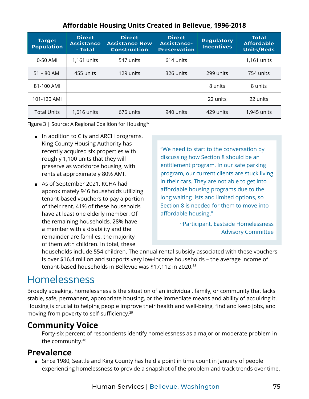<span id="page-8-0"></span>

| <b>Target</b><br><b>Population</b> | <b>Direct</b><br><b>Assistance</b><br>- Total | <b>Direct</b><br><b>Assistance New</b><br><b>Construction</b> | <b>Direct</b><br><b>Assistance-</b><br><b>Preservation</b> | <b>Regulatory</b><br><b>Incentives</b> | Total<br><b>Affordable</b><br><b>Units/Beds</b> |
|------------------------------------|-----------------------------------------------|---------------------------------------------------------------|------------------------------------------------------------|----------------------------------------|-------------------------------------------------|
| 0-50 AMI                           | 1,161 units                                   | 547 units                                                     | 614 units                                                  |                                        | 1,161 units                                     |
| $51 - 80$ AMI                      | 455 units                                     | 129 units                                                     | 326 units                                                  | 299 units                              | 754 units                                       |
| 81-100 AMI                         |                                               |                                                               |                                                            | 8 units                                | 8 units                                         |
| 101-120 AMI                        |                                               |                                                               |                                                            | 22 units                               | 22 units                                        |
| <b>Total Units</b>                 | 1,616 units                                   | 676 units                                                     | 940 units                                                  | 429 units                              | 1,945 units                                     |

#### **Affordable Housing Units Created in Bellevue, 1996-2018**

Figure 3 | Source: A Regional Coalition for Housing<sup>37</sup>

- In addition to City and ARCH programs, King County Housing Authority has recently acquired six properties with roughly 1,100 units that they will preserve as workforce housing, with rents at approximately 80% AMI.
- As of September 2021, KCHA had approximately 946 households utilizing tenant-based vouchers to pay a portion of their rent. 41% of these households have at least one elderly member. Of the remaining households, 28% have a member with a disability and the remainder are families, the majority of them with children. In total, these

"We need to start to the conversation by discussing how Section 8 should be an entitlement program. In our safe parking program, our current clients are stuck living in their cars. They are not able to get into affordable housing programs due to the long waiting lists and limited options, so Section 8 is needed for them to move into affordable housing."

> ~Participant, Eastside Homelessness Advisory Committee

households include 554 children. The annual rental subsidy associated with these vouchers is over \$16.4 million and supports very low-income households – the average income of tenant-based households in Bellevue was \$17,112 in 2020.[38](#page-12-0)

## Homelessness

Broadly speaking, homelessness is the situation of an individual, family, or community that lacks stable, safe, permanent, appropriate housing, or the immediate means and ability of acquiring it. Housing is crucial to helping people improve their health and well-being, find and keep jobs, and moving from poverty to self-sufficiency.[39](#page-12-0)

### **Community Voice**

Forty-six percent of respondents identify homelessness as a major or moderate problem in the community.[40](#page-12-0)

### **Prevalence**

■ Since 1980, Seattle and King County has held a point in time count in January of people experiencing homelessness to provide a snapshot of the problem and track trends over time.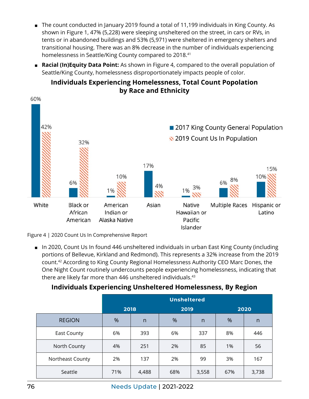- <span id="page-9-0"></span>■ The count conducted in January 2019 found a total of 11,199 individuals in King County. As shown in Figure 1, 47% (5,228) were sleeping unsheltered on the street, in cars or RVs, in tents or in abandoned buildings and 53% (5,971) were sheltered in emergency shelters and transitional housing. There was an 8% decrease in the number of individuals experiencing homelessness in Seattle/King County compared to 2018[.41](#page-12-0)
- **Racial (In)Equity Data Point:** As shown in Figure 4, compared to the overall population of Seattle/King County, homelessness disproportionately impacts people of color.



#### **Individuals Experiencing Homelessness, Total Count Popolation by Race and Ethnicity**

Figure 4 | 2020 Count Us In Comprehensive Report

■ In 2020, Count Us In found 446 unsheltered individuals in urban East King County (including portions of Bellevue, Kirkland and Redmond). This represents a 32% increase from the 2019 count[.42](#page-12-0) According to King County Regional Homelessness Authority CEO Marc Dones, the One Night Count routinely undercounts people experiencing homelessness, indicating that there are likely far more than 446 unsheltered individuals.<sup>43</sup>

### **Individuals Experiencing Unsheltered Homelessness, By Region**

|                  | <b>Unsheltered</b> |              |      |              |      |       |
|------------------|--------------------|--------------|------|--------------|------|-------|
|                  | 2018               |              | 2019 |              | 2020 |       |
| <b>REGION</b>    | %                  | $\mathsf{n}$ | %    | $\mathsf{n}$ | %    | n     |
| East County      | 6%                 | 393          | 6%   | 337          | 8%   | 446   |
| North County     | 4%                 | 251          | 2%   | 85           | 1%   | 56    |
| Northeast County | 2%                 | 137          | 2%   | 99           | 3%   | 167   |
| Seattle          | 71%                | 4,488        | 68%  | 3,558        | 67%  | 3,738 |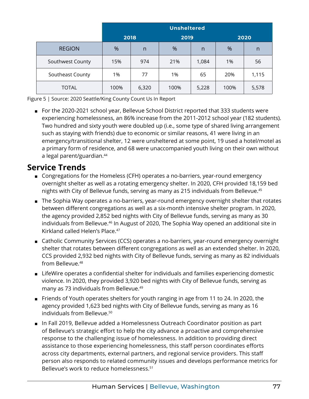<span id="page-10-0"></span>

|                  | <b>Unsheltered</b> |       |      |       |       |       |
|------------------|--------------------|-------|------|-------|-------|-------|
|                  | 2018               |       | 2019 |       | 2020  |       |
| <b>REGION</b>    | %                  | n     | %    | n     | %     | n     |
| Southwest County | 15%                | 974   | 21%  | 1,084 | $1\%$ | 56    |
| Southeast County | 1%                 | 77    | 1%   | 65    | 20%   | 1,115 |
| <b>TOTAL</b>     | 100%               | 6,320 | 100% | 5,228 | 100%  | 5,578 |

Figure 5 | Source: 2020 Seattle/King County Count Us In Report

■ For the 2020-2021 school year, Bellevue School District reported that 333 students were experiencing homelessness, an 86% increase from the 2011-2012 school year (182 students). Two hundred and sixty youth were doubled up (i.e., some type of shared living arrangement such as staying with friends) due to economic or similar reasons, 41 were living in an emergency/transitional shelter, 12 were unsheltered at some point, 19 used a hotel/motel as a primary form of residence, and 68 were unaccompanied youth living on their own without a legal parent/guardian.[44](#page-12-0)

### **Service Trends**

- Congregations for the Homeless (CFH) operates a no-barriers, year-round emergency overnight shelter as well as a rotating emergency shelter. In 2020, CFH provided 18,159 bed nights with City of Bellevue funds, serving as many as 215 individuals from Bellevue.<sup>45</sup>
- The Sophia Way operates a no-barriers, year-round emergency overnight shelter that rotates between different congregations as well as a six-month intensive shelter program. In 2020, the agency provided 2,852 bed nights with City of Bellevue funds, serving as many as 30 individuals from Bellevue.<sup>46</sup> In August of 2020, The Sophia Way opened an additional site in Kirkland called Helen's Place.<sup>[47](#page-12-0)</sup>
- Catholic Community Services (CCS) operates a no-barriers, year-round emergency overnight shelter that rotates between different congregations as well as an extended shelter. In 2020, CCS provided 2,932 bed nights with City of Bellevue funds, serving as many as 82 individuals from Bellevue.<sup>48</sup>
- LifeWire operates a confidential shelter for individuals and families experiencing domestic violence. In 2020, they provided 3,920 bed nights with City of Bellevue funds, serving as many as 73 individuals from Bellevue[.49](#page-13-0)
- Friends of Youth operates shelters for youth ranging in age from 11 to 24. In 2020, the agency provided 1,623 bed nights with City of Bellevue funds, serving as many as 16 individuals from Bellevue.<sup>50</sup>
- In Fall 2019, Bellevue added a Homelessness Outreach Coordinator position as part of Bellevue's strategic effort to help the city advance a proactive and comprehensive response to the challenging issue of homelessness. In addition to providing direct assistance to those experiencing homelessness, this staff person coordinates efforts across city departments, external partners, and regional service providers. This staff person also responds to related community issues and develops performance metrics for Bellevue's work to reduce homelessness[.51](#page-13-0)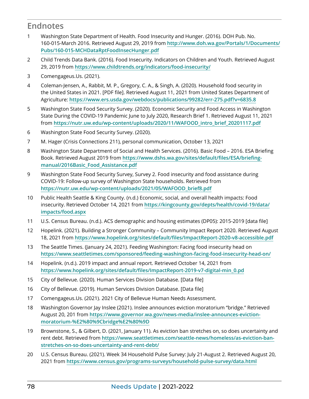### <span id="page-11-0"></span>**Endnotes**

- [1](#page-2-0) Washington State Department of Health. Food Insecurity and Hunger. (2016). DOH Pub. No. 160-015-March 2016. Retrieved August 29, 2019 from **[http://www.doh.wa.gov/Portals/1/Documents/](http://www.doh.wa.gov/Portals/1/Documents/Pubs/160-015-MCHDataRptFoodInsecHunger.pdf) [Pubs/160-015-MCHDataRptFoodInsecHunger.pdf](http://www.doh.wa.gov/Portals/1/Documents/Pubs/160-015-MCHDataRptFoodInsecHunger.pdf)**
- [2](#page-2-0) Child Trends Data Bank. (2016). Food Insecurity. Indicators on Children and Youth. Retrieved August 29, 2019 from **<https://www.childtrends.org/indicators/food-insecurity/>**
- [3](#page-3-0) Comengageus.Us. (2021).
- [4](#page-3-0) Coleman-Jensen, A., Rabbit, M. P., Gregory, C. A., & Singh, A. (2020). Household food security in the United States in 2021. [PDF file]. Retrieved August 11, 2021 from United States Department of Agriculture: **<https://www.ers.usda.gov/webdocs/publications/99282/err-275.pdf?v=6835.8>**
- [5](#page-3-0) Washington State Food Security Survey. (2020). Economic Security and Food Access in Washington State During the COVID-19 Pandemic June to July 2020, Research Brief 1. Retrieved August 11, 2021 from **[https://nutr.uw.edu/wp-content/uploads/2020/11](https://nutr.uw.edu/wp-content/uploads/2020/11/WAFOOD_intro_brief_20201117.pdf)/WAFOOD\_intro\_brief\_20201117.pdf**
- [6](#page-3-0) Washington State Food Security Survey. (2020).
- [7](#page-3-0) M. Hager (Crisis Connections 211), personal communication, October 13, 2021
- [8](#page-3-0) Washington State Department of Social and Health Services. (2016). Basic Food 2016. ESA Briefing Book. Retrieved August 2019 from **[https://www.dshs.wa.gov/sites/](https://www.dshs.wa.gov/sites/default/files/ESA/briefing-manual/2016Basic_Food_Assistance.pdf)default/files/ESA/briefing[manual/2016Basic\\_Food\\_Assistance.pdf](https://www.dshs.wa.gov/sites/default/files/ESA/briefing-manual/2016Basic_Food_Assistance.pdf)**
- [9](#page-3-0) Washington State Food Security Survey, Survey 2. Food insecurity and food assistance during COVID-19: Follow-up survey of Washington State households. Retrieved from **https://nutr.uw.edu/wp-content/[uploads/2021/05/WAFOOD\\_brief8.pdf](https://nutr.uw.edu/wp-content/uploads/2021/05/WAFOOD_brief8.pdf)**
- [10](#page-3-0) Public Health Seattle & King County. (n.d.) Economic, social, and overall health impacts: Food insecurity. Retrieved October 14, 2021 from **[https://kingcounty.gov/depts/](https://kingcounty.gov/depts/health/covid-19/data/impacts/food.aspx)health/covid-19/data/ [impacts/food.aspx](https://kingcounty.gov/depts/health/covid-19/data/impacts/food.aspx)**
- [11](#page-3-0) U.S. Census Bureau. (n.d.). ACS demographic and housing estimates (DP05): 2015-2019 [data file]
- [12](#page-4-0) Hopelink. (2021). Building a Stronger Community Community Impact Report 2020. Retrieved August 18, 2021 from **https[://www.hopelink.org/sites/default/files/ImpactReport-2020-v8-accessible](https://www.hopelink.org/sites/default/files/ImpactReport-2020-v8-accessible.pdf).pdf**
- [13](#page-4-0) The Seattle Times. (January 24, 2021). Feeding Washington: Facing food insecurity head on **<https://www.seattletimes.com/sponsored/feeding-washington-facing-food-insecurity-head-on/>**
- [14](#page-4-0) Hopelink. (n.d.). 2019 impact and annual report. Retrieved October 14, 2021 from **[https://www.hopelink.org/sites/default/files/ImpactReport-2019-v7-digital-min\\_0.pd](https://www.hopelink.org/sites/default/files/ImpactReport-2019-v7-digital-min_0.pd)**
- [15](#page-4-0) City of Bellevue. (2020). Human Services Division Database. [Data file]
- [16](#page-4-0) City of Bellevue. (2019). Human Services Division Database. [Data file]
- [17](#page-4-0) Comengageus.Us. (2021). 2021 City of Bellevue Human Needs Assessment.
- [18](#page-4-0) Washington Governor Jay Inslee (2021). Inslee announces eviction moratorium "bridge." Retrieved August 20, 201 from **[https://www.governor.wa.gov/news-media/inslee-announces-eviction](https://www.governor.wa.gov/news-media/inslee-announces-eviction-moratorium-%E2%80%9Cbridge%E2%80%9D)[moratorium-%E2%80%9Cbridge%E2%80%9D](https://www.governor.wa.gov/news-media/inslee-announces-eviction-moratorium-%E2%80%9Cbridge%E2%80%9D)**
- [19](#page-4-0) Brownstone, S., & Gilbert, D. (2021, January 11). As eviction ban stretches on, so does uncertainty and rent debt. Retrieved from **[https://www.seattletimes.com/seattle-news/homeless/as-eviction-ban](https://www.seattletimes.com/seattle-news/homeless/as-eviction-ban-stretches-on-so-does-uncertainty-and-rent-debt/)[stretches-on-so-does-uncertainty-and-rent-debt/](https://www.seattletimes.com/seattle-news/homeless/as-eviction-ban-stretches-on-so-does-uncertainty-and-rent-debt/)**
- [20](#page-4-0) U.S. Census Bureau. (2021). Week 34 Household Pulse Survey: July 21-August 2. Retrieved August 20, 2021 from **<https://www.census.gov/programs-surveys/household-pulse-survey/data.html>**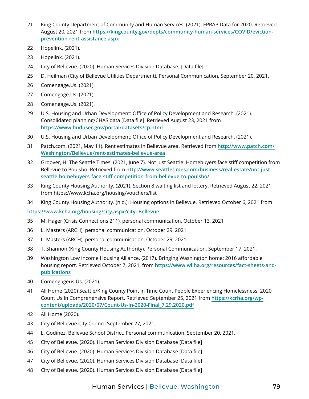- <span id="page-12-0"></span> King County Department of Community and Human Services. (2021). EPRAP Data for 2020. Retrieved August 20, 2021 from **https[://kingcounty.gov/depts/community-human-services/COVID/eviction](https://kingcounty.gov/depts/community-human-services/COVID/eviction-prevention-rent-assistance.aspx)[prevention-rent-assistance.aspx](https://kingcounty.gov/depts/community-human-services/COVID/eviction-prevention-rent-assistance.aspx)**
- Hopelink. (2021).
- Hopelink. (2021).
- City of Bellevue. (2020). Human Services Division Database. [Data file]
- D. Heilman (City of Bellevue Utilities Department), Personal Communication, September 20, 2021.
- Comengage.Us. (2021).
- Comengage.Us. (2021).
- Comengage.Us. (2021).
- U.S. Housing and Urban Development: Office of Policy Development and Research. (2021). Consolidated planning/CHAS data [Data file]. Retrieved August 23, 2021 from **<https://www.huduser.gov/portal/datasets/cp.html>**
- U.S. Housing and Urban Development: Office of Policy Development and Research. (2021).
- Patch.com. (2021, May 11). Rent estimates in Bellevue area. Retrieved from **[http://www.patch.com/](http://www.patch.com/Washington/Bellevue/rent-estimates-bellevue-area) [Washington/Bellevue/rent-estimates-bellevue-area](http://www.patch.com/Washington/Bellevue/rent-estimates-bellevue-area)**
- Groover, H. The Seattle Times. (2021, June 7). Not just Seattle: Homebuyers face stiff competition from Bellevue to Poulsbo. Retrieved from **[http://www.seattletimes.com/business/real-estate/not-just](http://www.seattletimes.com/business/real-estate/not-just-seattle-homebuyers-face-stiff-competition-from-bellevue-to-poulsbo/)[seattle-homebuyers-face-stiff-competition-from-bellevue-to-poulsbo/](http://www.seattletimes.com/business/real-estate/not-just-seattle-homebuyers-face-stiff-competition-from-bellevue-to-poulsbo/)**
- King County Housing Authority. (2021). Section 8 waiting list and lottery. Retrieved August 22, 2021 from https://www.kcha.org/housing/vouchers/list
- King County Housing Authority. (n.d.). Housing options in Bellevue. Retrieved October 6, 2021 from

**https[://www.kcha.org/housing/city.aspx?city=Bellevue](https://www.kcha.org/housing/city.aspx?city=Bellevue)**

- M. Hager (Crisis Connections 211), personal communication, October 13, 2021
- L. Masters (ARCH), personal communication, October 29, 2021
- L. Masters (ARCH), personal communication, October 29, 2021
- T. Shannon (King County Housing Authority), Personal Communication, September 17, 2021.
- Washington Low Income Housing Alliance. (2017). Bringing Washington home: 2016 affordable housing report. Retrieved October 7, 2021, from **[https://www.wliha.org/resources/fact-sheets-and](https://www.wliha.org/resources/fact-sheets-and-publications)[publications](https://www.wliha.org/resources/fact-sheets-and-publications)**
- Comengageus.Us. (2021).
- All Home (2020) Seattle/King County Point in Time Count People Experiencing Homelessness: 2020 Count Us In Comprehensive Report. Retrieved September 25, 2021 from **[https://kcrha.org/wp](https://kcrha.org/wp-content/uploads/2020/07/Count-Us-In-2020-Final_7.29.2020.pdf)[content/uploads/2020/07/Count-Us-In-2020-Final\\_7.29.2020.pdf](https://kcrha.org/wp-content/uploads/2020/07/Count-Us-In-2020-Final_7.29.2020.pdf)**
- All Home (2020).
- City of Bellevue City Council September 27, 2021.
- L. Godinez. Bellevue School District. Personal communication. September 20, 2021.
- City of Bellevue. (2020). Human Services Division Database [Data file]
- City of Bellevue. (2020). Human Services Division Database [Data file]
- City of Bellevue. (2020). Human Services Division Database [Data file]
- City of Bellevue. (2020). Human Services Division Database [Data file]